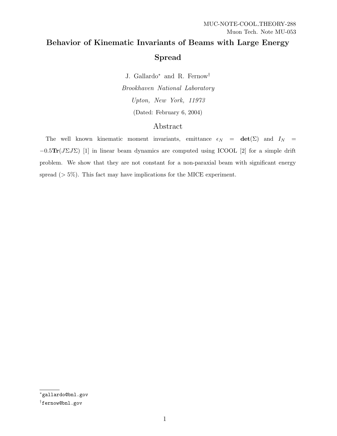# Behavior of Kinematic Invariants of Beams with Large Energy Spread

J. Gallardo<sup>∗</sup> and R. Fernow † Brookhaven National Laboratory Upton, New York, 11973 (Dated: February 6, 2004)

## Abstract

The well known kinematic moment invariants, emittance  $\epsilon_N = \det(\Sigma)$  and  $I_N =$  $-0.5\text{Tr}(J\Sigma J\Sigma)$  [1] in linear beam dynamics are computed using ICOOL [2] for a simple drift problem. We show that they are not constant for a non-paraxial beam with significant energy spread ( $> 5\%$ ). This fact may have implications for the MICE experiment.

<sup>∗</sup>gallardo@bnl.gov

<sup>†</sup>fernow@bnl.gov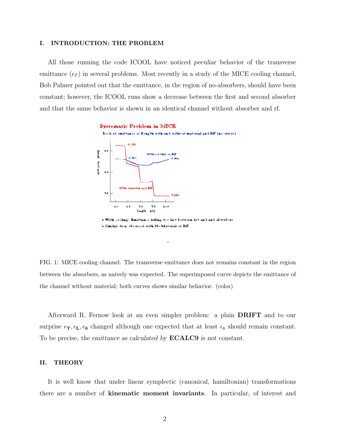#### I. INTRODUCTION: THE PROBLEM

All those running the code ICOOL have noticed peculiar behavior of the transverse emittance  $(\epsilon_T)$  in several problems. Most recently in a study of the MICE cooling channel, Bob Palmer pointed out that the emittance, in the region of no-absorbers, should have been constant; however, the ICOOL runs show a decrease between the first and second absorber and that the same behavior is shown in an identical channel without absorber and rf.



FIG. 1: MICE cooling channel. The transverse emittance does not remains constant in the region between the absorbers, as naively was expected. The superimposed curve depicts the emittance of the channel without material; both curves shows similar behavior. (color)

Afterward R. Fernow look at an even simpler problem: a plain DRIFT and to our surprise  $\epsilon_T, \epsilon_L, \epsilon_6$  changed although one expected that at least  $\epsilon_6$  should remain constant. To be precise, the emittance as calculated by **ECALC9** is not constant.

#### II. THEORY

It is well know that under linear symplectic (canonical, hamiltonian) transformations there are a number of kinematic moment invariants. In particular, of interest and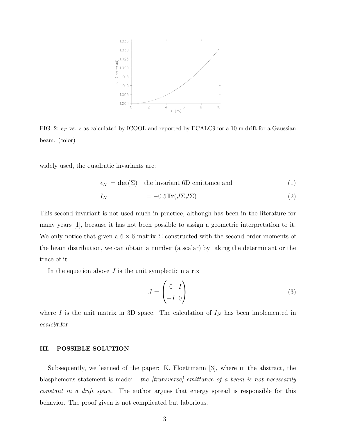

FIG. 2:  $\epsilon_T$  vs. z as calculated by ICOOL and reported by ECALC9 for a 10 m drift for a Gaussian beam. (color)

widely used, the quadratic invariants are:

$$
\epsilon_N = \det(\Sigma) \quad \text{the invariant 6D emittance and} \tag{1}
$$

$$
I_N = -0.5 \text{Tr}(J\Sigma J \Sigma) \tag{2}
$$

This second invariant is not used much in practice, although has been in the literature for many years [1], because it has not been possible to assign a geometric interpretation to it. We only notice that given a  $6 \times 6$  matrix  $\Sigma$  constructed with the second order moments of the beam distribution, we can obtain a number (a scalar) by taking the determinant or the trace of it.

In the equation above  $J$  is the unit symplectic matrix

$$
J = \begin{pmatrix} 0 & I \\ -I & 0 \end{pmatrix} \tag{3}
$$

where  $I$  is the unit matrix in 3D space. The calculation of  $I_N$  has been implemented in ecalc9f.for

### III. POSSIBLE SOLUTION

Subsequently, we learned of the paper: K. Floettmann [3], where in the abstract, the blasphemous statement is made: the *[transverse]* emittance of a beam is not necessarily constant in a drift space. The author argues that energy spread is responsible for this behavior. The proof given is not complicated but laborious.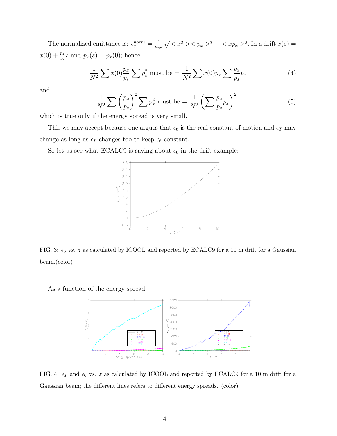The normalized emittance is:  $\epsilon_x^{norm} = \frac{1}{m_e}$  $\frac{1}{m_{oc}}\sqrt{^2-^2}$ . In a drift  $x(s)$  =  $x(0) + \frac{p_x}{n}$  $\frac{p_x}{p_s}s$  and  $p_x(s) = p_x(0)$ ; hence

$$
\frac{1}{N^2} \sum x(0) \frac{p_x}{p_s} \sum p_x^2 \text{ must be} = \frac{1}{N^2} \sum x(0) p_x \sum \frac{p_x}{p_s} p_x \tag{4}
$$

and

$$
\frac{1}{N^2} \sum \left(\frac{p_x}{p_s}\right)^2 \sum p_x^2 \text{ must be} = \frac{1}{N^2} \left(\sum \frac{p_x}{p_s} p_x\right)^2. \tag{5}
$$

which is true only if the energy spread is very small.

This we may accept because one argues that  $\epsilon_6$  is the real constant of motion and  $\epsilon_T$  may change as long as  $\epsilon_L$  changes too to keep  $\epsilon_6$  constant.

So let us see what ECALC9 is saying about  $\epsilon_6$  in the drift example:



FIG. 3:  $\epsilon_6$  vs. z as calculated by ICOOL and reported by ECALC9 for a 10 m drift for a Gaussian beam.(color)

As a function of the energy spread



FIG. 4:  $\epsilon_T$  and  $\epsilon_6$  vs. z as calculated by ICOOL and reported by ECALC9 for a 10 m drift for a Gaussian beam; the different lines refers to different energy spreads. (color)